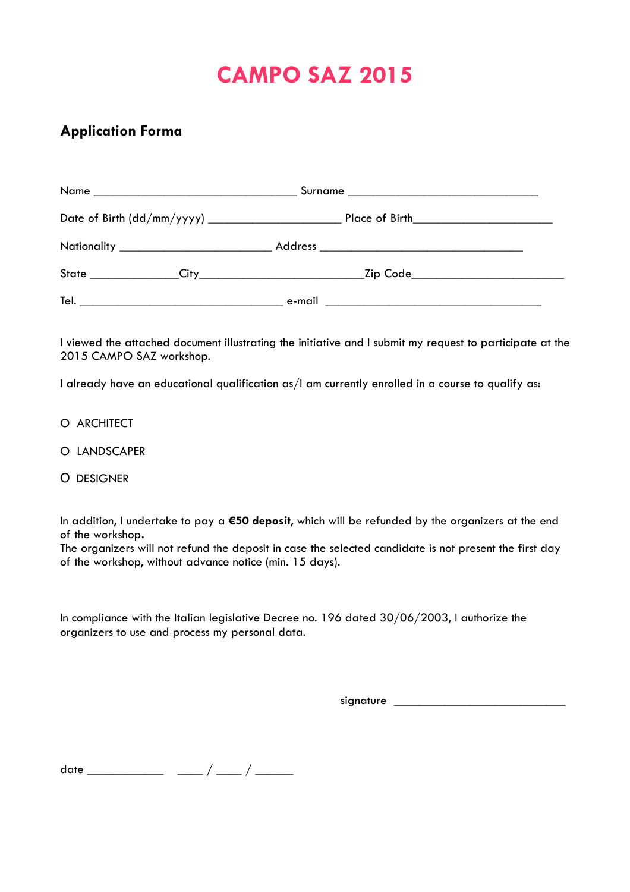# **CAMPO SAZ 2015**

## **Application Forma**

I viewed the attached document illustrating the initiative and I submit my request to participate at the 2015 CAMPO SAZ workshop.

I already have an educational qualification as/I am currently enrolled in a course to qualify as:

- O ARCHITECT
- O LANDSCAPER
- O DESIGNER

In addition, I undertake to pay a **€50 deposit**, which will be refunded by the organizers at the end of the workshop**.**

The organizers will not refund the deposit in case the selected candidate is not present the first day of the workshop, without advance notice (min. 15 days).

In compliance with the Italian legislative Decree no. 196 dated 30/06/2003, I authorize the organizers to use and process my personal data.

signature \_\_\_\_\_\_\_\_\_\_\_\_\_\_\_\_\_\_\_\_\_\_\_\_\_\_\_

date \_\_\_\_\_\_\_\_\_\_\_\_ \_\_\_\_ / \_\_\_\_ / \_\_\_\_\_\_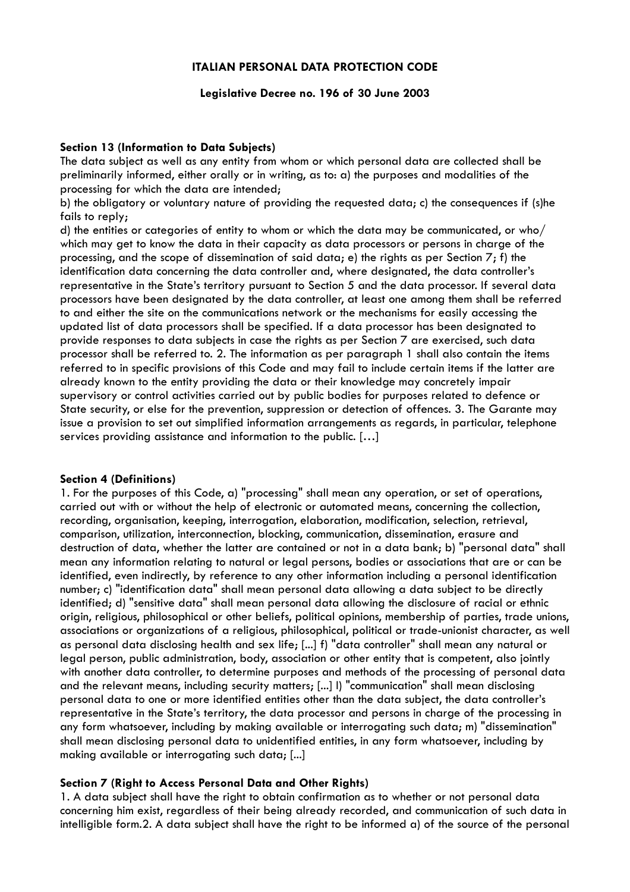#### **ITALIAN PERSONAL DATA PROTECTION CODE**

#### **Legislative Decree no. 196 of 30 June 2003**

#### **Section 13 (Information to Data Subjects)**

The data subject as well as any entity from whom or which personal data are collected shall be preliminarily informed, either orally or in writing, as to: a) the purposes and modalities of the processing for which the data are intended;

b) the obligatory or voluntary nature of providing the requested data; c) the consequences if (s)he fails to reply;

d) the entities or categories of entity to whom or which the data may be communicated, or who/ which may get to know the data in their capacity as data processors or persons in charge of the processing, and the scope of dissemination of said data; e) the rights as per Section 7; f) the identification data concerning the data controller and, where designated, the data controller's representative in the State's territory pursuant to Section 5 and the data processor. If several data processors have been designated by the data controller, at least one among them shall be referred to and either the site on the communications network or the mechanisms for easily accessing the updated list of data processors shall be specified. If a data processor has been designated to provide responses to data subjects in case the rights as per Section 7 are exercised, such data processor shall be referred to. 2. The information as per paragraph 1 shall also contain the items referred to in specific provisions of this Code and may fail to include certain items if the latter are already known to the entity providing the data or their knowledge may concretely impair supervisory or control activities carried out by public bodies for purposes related to defence or State security, or else for the prevention, suppression or detection of offences. 3. The Garante may issue a provision to set out simplified information arrangements as regards, in particular, telephone services providing assistance and information to the public. […]

#### **Section 4 (Definitions)**

1. For the purposes of this Code, a) "processing" shall mean any operation, or set of operations, carried out with or without the help of electronic or automated means, concerning the collection, recording, organisation, keeping, interrogation, elaboration, modification, selection, retrieval, comparison, utilization, interconnection, blocking, communication, dissemination, erasure and destruction of data, whether the latter are contained or not in a data bank; b) "personal data" shall mean any information relating to natural or legal persons, bodies or associations that are or can be identified, even indirectly, by reference to any other information including a personal identification number; c) "identification data" shall mean personal data allowing a data subject to be directly identified; d) "sensitive data" shall mean personal data allowing the disclosure of racial or ethnic origin, religious, philosophical or other beliefs, political opinions, membership of parties, trade unions, associations or organizations of a religious, philosophical, political or trade-unionist character, as well as personal data disclosing health and sex life; [...] f) "data controller" shall mean any natural or legal person, public administration, body, association or other entity that is competent, also jointly with another data controller, to determine purposes and methods of the processing of personal data and the relevant means, including security matters; [...] l) "communication" shall mean disclosing personal data to one or more identified entities other than the data subject, the data controller's representative in the State's territory, the data processor and persons in charge of the processing in any form whatsoever, including by making available or interrogating such data; m) "dissemination" shall mean disclosing personal data to unidentified entities, in any form whatsoever, including by making available or interrogating such data; [...]

#### **Section 7 (Right to Access Personal Data and Other Rights)**

1. A data subject shall have the right to obtain confirmation as to whether or not personal data concerning him exist, regardless of their being already recorded, and communication of such data in intelligible form.2. A data subject shall have the right to be informed a) of the source of the personal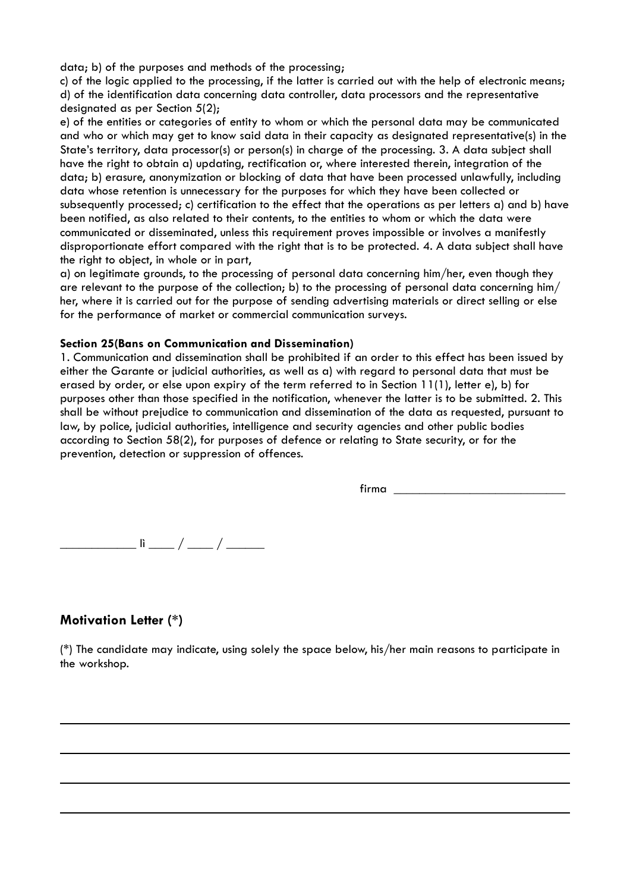data; b) of the purposes and methods of the processing;

c) of the logic applied to the processing, if the latter is carried out with the help of electronic means; d) of the identification data concerning data controller, data processors and the representative designated as per Section 5(2);

e) of the entities or categories of entity to whom or which the personal data may be communicated and who or which may get to know said data in their capacity as designated representative(s) in the State's territory, data processor(s) or person(s) in charge of the processing. 3. A data subject shall have the right to obtain a) updating, rectification or, where interested therein, integration of the data; b) erasure, anonymization or blocking of data that have been processed unlawfully, including data whose retention is unnecessary for the purposes for which they have been collected or subsequently processed; c) certification to the effect that the operations as per letters a) and b) have been notified, as also related to their contents, to the entities to whom or which the data were communicated or disseminated, unless this requirement proves impossible or involves a manifestly disproportionate effort compared with the right that is to be protected. 4. A data subject shall have the right to object, in whole or in part,

a) on legitimate grounds, to the processing of personal data concerning him/her, even though they are relevant to the purpose of the collection; b) to the processing of personal data concerning him/ her, where it is carried out for the purpose of sending advertising materials or direct selling or else for the performance of market or commercial communication surveys.

#### **Section 25(Bans on Communication and Dissemination)**

1. Communication and dissemination shall be prohibited if an order to this effect has been issued by either the Garante or judicial authorities, as well as a) with regard to personal data that must be erased by order, or else upon expiry of the term referred to in Section 11(1), letter e), b) for purposes other than those specified in the notification, whenever the latter is to be submitted. 2. This shall be without prejudice to communication and dissemination of the data as requested, pursuant to law, by police, judicial authorities, intelligence and security agencies and other public bodies according to Section 58(2), for purposes of defence or relating to State security, or for the prevention, detection or suppression of offences.

 $firma$   $\_\_$ 

\_\_\_\_\_\_\_\_\_\_\_\_ lì \_\_\_\_ / \_\_\_\_ / \_\_\_\_\_\_

### **Motivation Letter (\*)**

(\*) The candidate may indicate, using solely the space below, his/her main reasons to participate in the workshop.